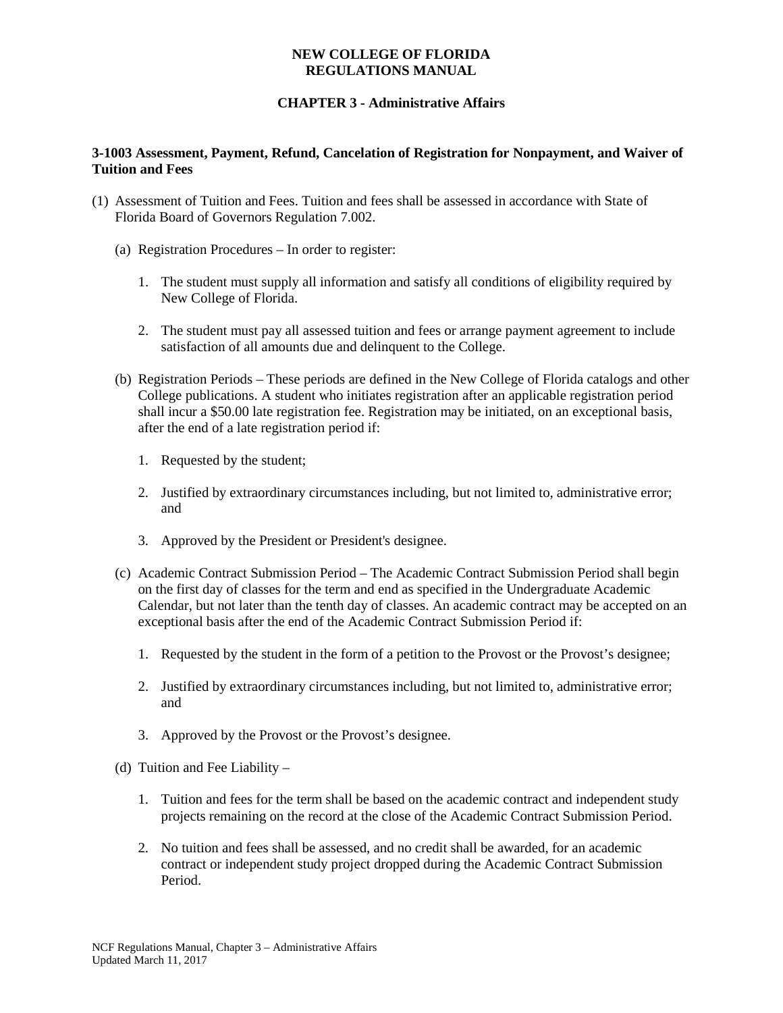# **CHAPTER 3 - Administrative Affairs**

### **3-1003 Assessment, Payment, Refund, Cancelation of Registration for Nonpayment, and Waiver of Tuition and Fees**

- (1) Assessment of Tuition and Fees. Tuition and fees shall be assessed in accordance with State of Florida Board of Governors Regulation 7.002.
	- (a) Registration Procedures In order to register:
		- 1. The student must supply all information and satisfy all conditions of eligibility required by New College of Florida.
		- 2. The student must pay all assessed tuition and fees or arrange payment agreement to include satisfaction of all amounts due and delinquent to the College.
	- (b) Registration Periods These periods are defined in the New College of Florida catalogs and other College publications. A student who initiates registration after an applicable registration period shall incur a \$50.00 late registration fee. Registration may be initiated, on an exceptional basis, after the end of a late registration period if:
		- 1. Requested by the student;
		- 2. Justified by extraordinary circumstances including, but not limited to, administrative error; and
		- 3. Approved by the President or President's designee.
	- (c) Academic Contract Submission Period The Academic Contract Submission Period shall begin on the first day of classes for the term and end as specified in the Undergraduate Academic Calendar, but not later than the tenth day of classes. An academic contract may be accepted on an exceptional basis after the end of the Academic Contract Submission Period if:
		- 1. Requested by the student in the form of a petition to the Provost or the Provost's designee;
		- 2. Justified by extraordinary circumstances including, but not limited to, administrative error; and
		- 3. Approved by the Provost or the Provost's designee.
	- (d) Tuition and Fee Liability
		- 1. Tuition and fees for the term shall be based on the academic contract and independent study projects remaining on the record at the close of the Academic Contract Submission Period.
		- 2. No tuition and fees shall be assessed, and no credit shall be awarded, for an academic contract or independent study project dropped during the Academic Contract Submission Period.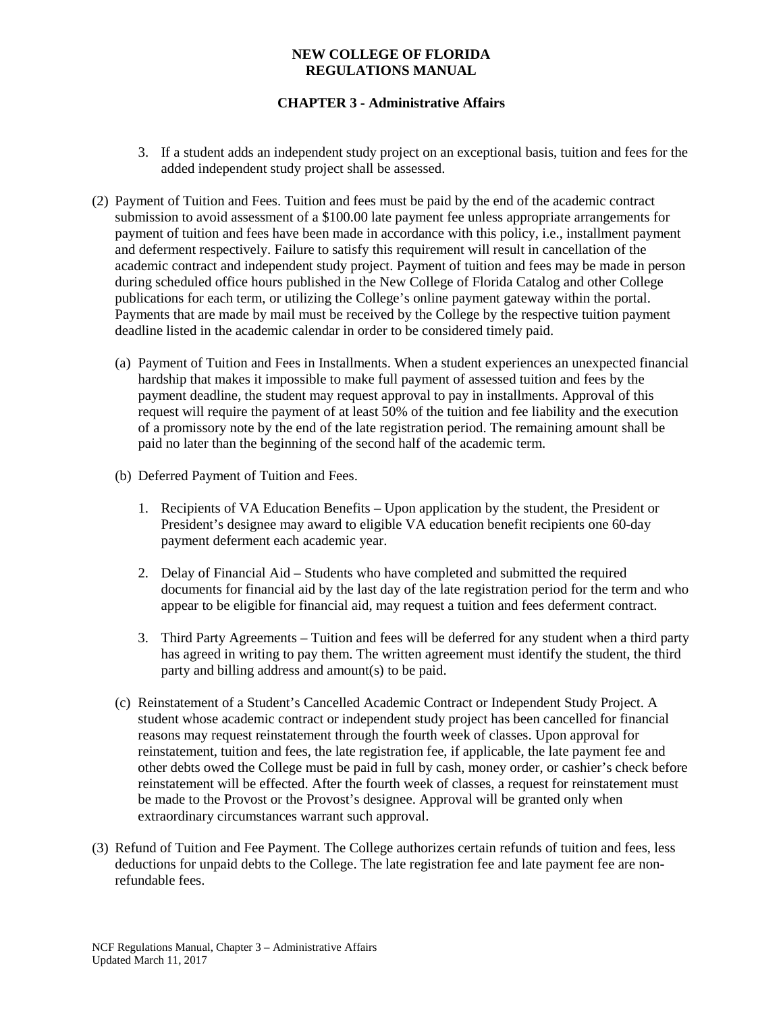# **CHAPTER 3 - Administrative Affairs**

- 3. If a student adds an independent study project on an exceptional basis, tuition and fees for the added independent study project shall be assessed.
- (2) Payment of Tuition and Fees. Tuition and fees must be paid by the end of the academic contract submission to avoid assessment of a \$100.00 late payment fee unless appropriate arrangements for payment of tuition and fees have been made in accordance with this policy, i.e., installment payment and deferment respectively. Failure to satisfy this requirement will result in cancellation of the academic contract and independent study project. Payment of tuition and fees may be made in person during scheduled office hours published in the New College of Florida Catalog and other College publications for each term, or utilizing the College's online payment gateway within the portal. Payments that are made by mail must be received by the College by the respective tuition payment deadline listed in the academic calendar in order to be considered timely paid.
	- (a) Payment of Tuition and Fees in Installments. When a student experiences an unexpected financial hardship that makes it impossible to make full payment of assessed tuition and fees by the payment deadline, the student may request approval to pay in installments. Approval of this request will require the payment of at least 50% of the tuition and fee liability and the execution of a promissory note by the end of the late registration period. The remaining amount shall be paid no later than the beginning of the second half of the academic term.
	- (b) Deferred Payment of Tuition and Fees.
		- 1. Recipients of VA Education Benefits Upon application by the student, the President or President's designee may award to eligible VA education benefit recipients one 60-day payment deferment each academic year.
		- 2. Delay of Financial Aid Students who have completed and submitted the required documents for financial aid by the last day of the late registration period for the term and who appear to be eligible for financial aid, may request a tuition and fees deferment contract.
		- 3. Third Party Agreements Tuition and fees will be deferred for any student when a third party has agreed in writing to pay them. The written agreement must identify the student, the third party and billing address and amount(s) to be paid.
	- (c) Reinstatement of a Student's Cancelled Academic Contract or Independent Study Project. A student whose academic contract or independent study project has been cancelled for financial reasons may request reinstatement through the fourth week of classes. Upon approval for reinstatement, tuition and fees, the late registration fee, if applicable, the late payment fee and other debts owed the College must be paid in full by cash, money order, or cashier's check before reinstatement will be effected. After the fourth week of classes, a request for reinstatement must be made to the Provost or the Provost's designee. Approval will be granted only when extraordinary circumstances warrant such approval.
- (3) Refund of Tuition and Fee Payment. The College authorizes certain refunds of tuition and fees, less deductions for unpaid debts to the College. The late registration fee and late payment fee are nonrefundable fees.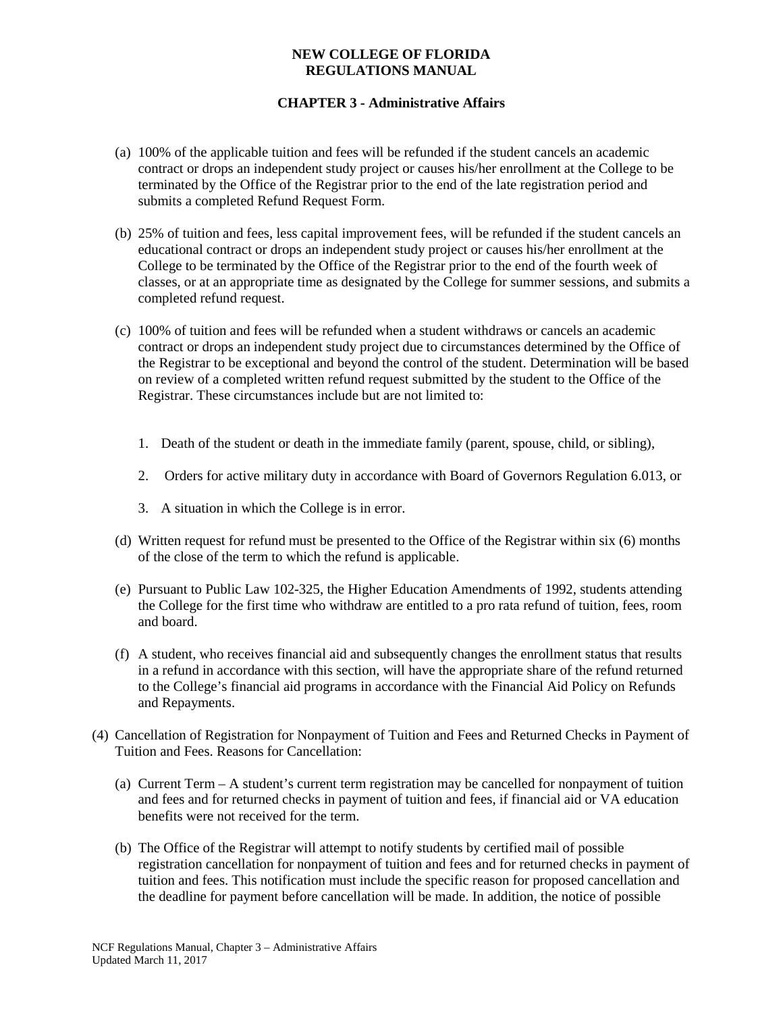# **CHAPTER 3 - Administrative Affairs**

- (a) 100% of the applicable tuition and fees will be refunded if the student cancels an academic contract or drops an independent study project or causes his/her enrollment at the College to be terminated by the Office of the Registrar prior to the end of the late registration period and submits a completed Refund Request Form.
- (b) 25% of tuition and fees, less capital improvement fees, will be refunded if the student cancels an educational contract or drops an independent study project or causes his/her enrollment at the College to be terminated by the Office of the Registrar prior to the end of the fourth week of classes, or at an appropriate time as designated by the College for summer sessions, and submits a completed refund request.
- (c) 100% of tuition and fees will be refunded when a student withdraws or cancels an academic contract or drops an independent study project due to circumstances determined by the Office of the Registrar to be exceptional and beyond the control of the student. Determination will be based on review of a completed written refund request submitted by the student to the Office of the Registrar. These circumstances include but are not limited to:
	- 1. Death of the student or death in the immediate family (parent, spouse, child, or sibling),
	- 2. Orders for active military duty in accordance with Board of Governors Regulation 6.013, or
	- 3. A situation in which the College is in error.
- (d) Written request for refund must be presented to the Office of the Registrar within six (6) months of the close of the term to which the refund is applicable.
- (e) Pursuant to Public Law 102-325, the Higher Education Amendments of 1992, students attending the College for the first time who withdraw are entitled to a pro rata refund of tuition, fees, room and board.
- (f) A student, who receives financial aid and subsequently changes the enrollment status that results in a refund in accordance with this section, will have the appropriate share of the refund returned to the College's financial aid programs in accordance with the Financial Aid Policy on Refunds and Repayments.
- (4) Cancellation of Registration for Nonpayment of Tuition and Fees and Returned Checks in Payment of Tuition and Fees. Reasons for Cancellation:
	- (a) Current Term A student's current term registration may be cancelled for nonpayment of tuition and fees and for returned checks in payment of tuition and fees, if financial aid or VA education benefits were not received for the term.
	- (b) The Office of the Registrar will attempt to notify students by certified mail of possible registration cancellation for nonpayment of tuition and fees and for returned checks in payment of tuition and fees. This notification must include the specific reason for proposed cancellation and the deadline for payment before cancellation will be made. In addition, the notice of possible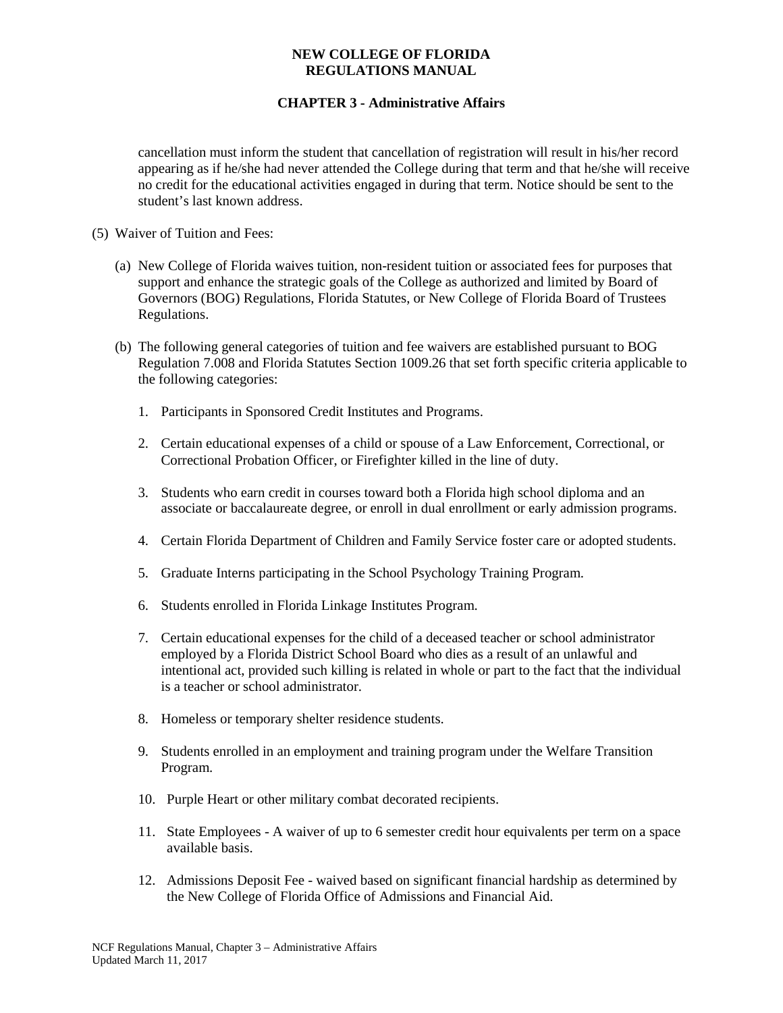# **CHAPTER 3 - Administrative Affairs**

cancellation must inform the student that cancellation of registration will result in his/her record appearing as if he/she had never attended the College during that term and that he/she will receive no credit for the educational activities engaged in during that term. Notice should be sent to the student's last known address.

- (5) Waiver of Tuition and Fees:
	- (a) New College of Florida waives tuition, non-resident tuition or associated fees for purposes that support and enhance the strategic goals of the College as authorized and limited by Board of Governors (BOG) Regulations, Florida Statutes, or New College of Florida Board of Trustees Regulations.
	- (b) The following general categories of tuition and fee waivers are established pursuant to BOG Regulation 7.008 and Florida Statutes Section 1009.26 that set forth specific criteria applicable to the following categories:
		- 1. Participants in Sponsored Credit Institutes and Programs.
		- 2. Certain educational expenses of a child or spouse of a Law Enforcement, Correctional, or Correctional Probation Officer, or Firefighter killed in the line of duty.
		- 3. Students who earn credit in courses toward both a Florida high school diploma and an associate or baccalaureate degree, or enroll in dual enrollment or early admission programs.
		- 4. Certain Florida Department of Children and Family Service foster care or adopted students.
		- 5. Graduate Interns participating in the School Psychology Training Program.
		- 6. Students enrolled in Florida Linkage Institutes Program.
		- 7. Certain educational expenses for the child of a deceased teacher or school administrator employed by a Florida District School Board who dies as a result of an unlawful and intentional act, provided such killing is related in whole or part to the fact that the individual is a teacher or school administrator.
		- 8. Homeless or temporary shelter residence students.
		- 9. Students enrolled in an employment and training program under the Welfare Transition Program.
		- 10. Purple Heart or other military combat decorated recipients.
		- 11. State Employees A waiver of up to 6 semester credit hour equivalents per term on a space available basis.
		- 12. Admissions Deposit Fee waived based on significant financial hardship as determined by the New College of Florida Office of Admissions and Financial Aid.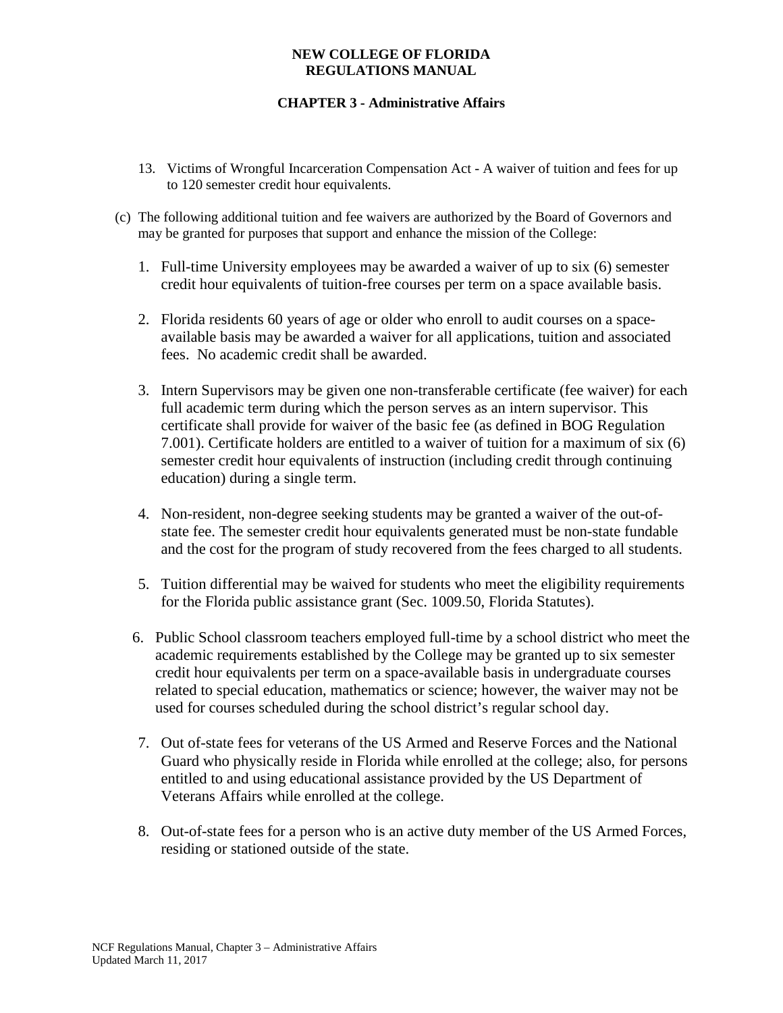# **CHAPTER 3 - Administrative Affairs**

- 13. Victims of Wrongful Incarceration Compensation Act A waiver of tuition and fees for up to 120 semester credit hour equivalents.
- (c) The following additional tuition and fee waivers are authorized by the Board of Governors and may be granted for purposes that support and enhance the mission of the College:
	- 1. Full-time University employees may be awarded a waiver of up to six (6) semester credit hour equivalents of tuition-free courses per term on a space available basis.
	- 2. Florida residents 60 years of age or older who enroll to audit courses on a spaceavailable basis may be awarded a waiver for all applications, tuition and associated fees. No academic credit shall be awarded.
	- 3. Intern Supervisors may be given one non-transferable certificate (fee waiver) for each full academic term during which the person serves as an intern supervisor. This certificate shall provide for waiver of the basic fee (as defined in BOG Regulation 7.001). Certificate holders are entitled to a waiver of tuition for a maximum of six (6) semester credit hour equivalents of instruction (including credit through continuing education) during a single term.
	- 4. Non-resident, non-degree seeking students may be granted a waiver of the out-ofstate fee. The semester credit hour equivalents generated must be non-state fundable and the cost for the program of study recovered from the fees charged to all students.
	- 5. Tuition differential may be waived for students who meet the eligibility requirements for the Florida public assistance grant (Sec. 1009.50, Florida Statutes).
	- 6. Public School classroom teachers employed full-time by a school district who meet the academic requirements established by the College may be granted up to six semester credit hour equivalents per term on a space-available basis in undergraduate courses related to special education, mathematics or science; however, the waiver may not be used for courses scheduled during the school district's regular school day.
	- 7. Out of-state fees for veterans of the US Armed and Reserve Forces and the National Guard who physically reside in Florida while enrolled at the college; also, for persons entitled to and using educational assistance provided by the US Department of Veterans Affairs while enrolled at the college.
	- 8. Out-of-state fees for a person who is an active duty member of the US Armed Forces, residing or stationed outside of the state.